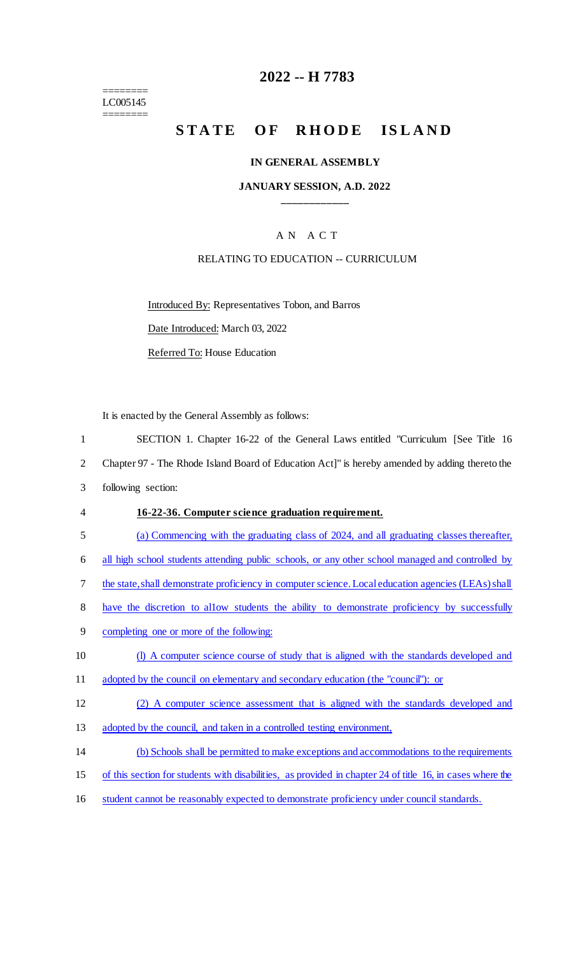======== LC005145  $=$ 

## **2022 -- H 7783**

# **STATE OF RHODE ISLAND**

### **IN GENERAL ASSEMBLY**

#### **JANUARY SESSION, A.D. 2022 \_\_\_\_\_\_\_\_\_\_\_\_**

### A N A C T

### RELATING TO EDUCATION -- CURRICULUM

Introduced By: Representatives Tobon, and Barros

Date Introduced: March 03, 2022

Referred To: House Education

It is enacted by the General Assembly as follows:

| $\mathbf{1}$   | SECTION 1. Chapter 16-22 of the General Laws entitled "Curriculum [See Title 16                           |
|----------------|-----------------------------------------------------------------------------------------------------------|
| $\overline{2}$ | Chapter 97 - The Rhode Island Board of Education Act]" is hereby amended by adding thereto the            |
| 3              | following section:                                                                                        |
| $\overline{4}$ | 16-22-36. Computer science graduation requirement.                                                        |
| 5              | (a) Commencing with the graduating class of 2024, and all graduating classes thereafter,                  |
| 6              | all high school students attending public schools, or any other school managed and controlled by          |
| 7              | the state, shall demonstrate proficiency in computer science. Local education agencies (LEAs) shall       |
| 8              | have the discretion to allow students the ability to demonstrate proficiency by successfully              |
| 9              | completing one or more of the following:                                                                  |
| 10             | (I) A computer science course of study that is aligned with the standards developed and                   |
| 11             | adopted by the council on elementary and secondary education (the "council"): or                          |
| 12             | (2) A computer science assessment that is aligned with the standards developed and                        |
| 13             | adopted by the council, and taken in a controlled testing environment,                                    |
| 14             | (b) Schools shall be permitted to make exceptions and accommodations to the requirements                  |
| 15             | of this section for students with disabilities, as provided in chapter 24 of title 16, in cases where the |
|                |                                                                                                           |

16 student cannot be reasonably expected to demonstrate proficiency under council standards.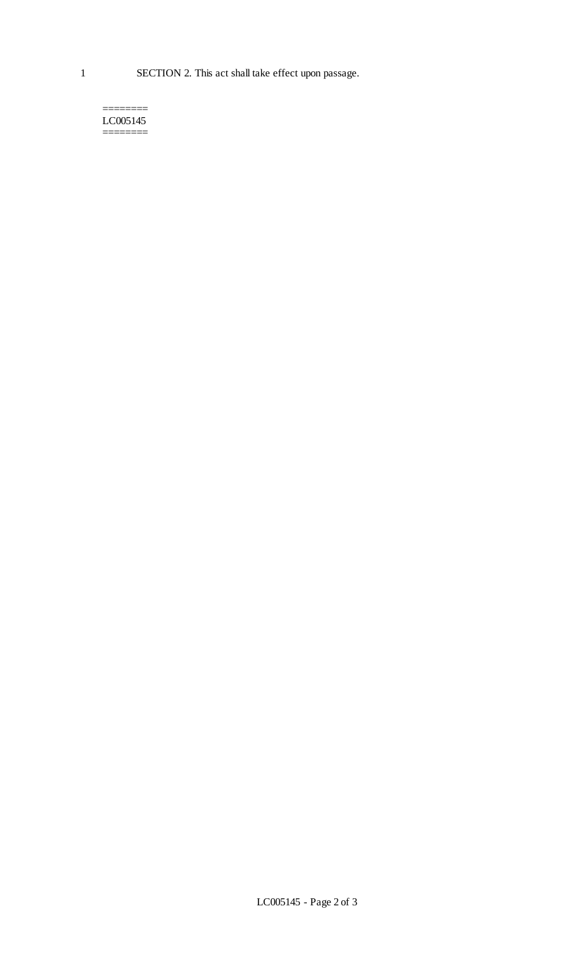#### ======== LC005145 ========